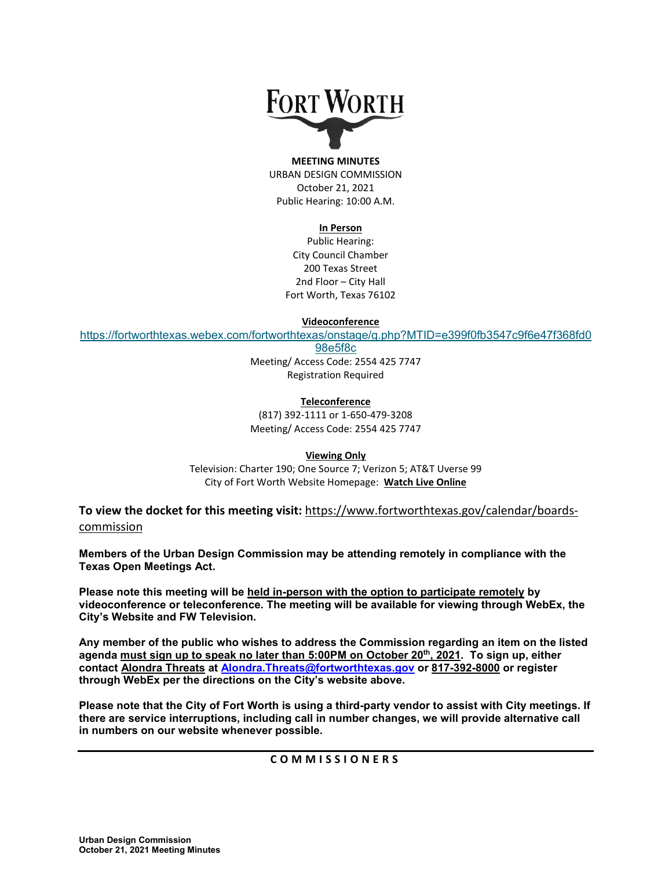# **FORT WORTH**

#### **MEETING MINUTES** URBAN DESIGN COMMISSION October 21, 2021 Public Hearing: 10:00 A.M.

#### **In Person**

Public Hearing: City Council Chamber 200 Texas Street 2nd Floor – City Hall Fort Worth, Texas 76102

**Videoconference**

[https://fortworthtexas.webex.com/fortworthtexas/onstage/g.php?MTID=e399f0fb3547c9f6e47f368fd0](https://urldefense.com/v3/__https:/fortworthtexas.webex.com/fortworthtexas/onstage/g.php?MTID=e399f0fb3547c9f6e47f368fd098e5f8c__;!!FBD41DuKpIh0IME!drNSHRIF72T1gJTkEWqbhjAuJwDyrnxIbC3N6e-CZXqCMC-pI9WwZcFEbWpztpcXaZb7C_kW_64x-g$)

[98e5f8c](https://urldefense.com/v3/__https:/fortworthtexas.webex.com/fortworthtexas/onstage/g.php?MTID=e399f0fb3547c9f6e47f368fd098e5f8c__;!!FBD41DuKpIh0IME!drNSHRIF72T1gJTkEWqbhjAuJwDyrnxIbC3N6e-CZXqCMC-pI9WwZcFEbWpztpcXaZb7C_kW_64x-g$)

Meeting/ Access Code: 2554 425 7747 Registration Required

**Teleconference** (817) 392-1111 or 1-650-479-3208 Meeting/ Access Code: 2554 425 7747

**Viewing Only** Television: Charter 190; One Source 7; Verizon 5; AT&T Uverse 99 City of Fort Worth Website Homepage: **[Watch Live Online](http://fortworthtexas.gov/fwtv)**

**To view the docket for this meeting visit:** [https://www.fortworthtexas.gov/calendar/boards](https://www.fortworthtexas.gov/calendar/boards-commission)[commission](https://www.fortworthtexas.gov/calendar/boards-commission)

**Members of the Urban Design Commission may be attending remotely in compliance with the Texas Open Meetings Act.** 

**Please note this meeting will be held in-person with the option to participate remotely by videoconference or teleconference. The meeting will be available for viewing through WebEx, the City's Website and FW Television.** 

**Any member of the public who wishes to address the Commission regarding an item on the listed agenda must sign up to speak no later than 5:00PM on October 20th, 2021. To sign up, either contact Alondra Threats at Alondra.Threats@fortworthtexas.gov or 817-392-8000 or register through WebEx per the directions on the City's website above.**

**Please note that the City of Fort Worth is using a third-party vendor to assist with City meetings. If there are service interruptions, including call in number changes, we will provide alternative call in numbers on our website whenever possible.**

**COMMISSIONERS**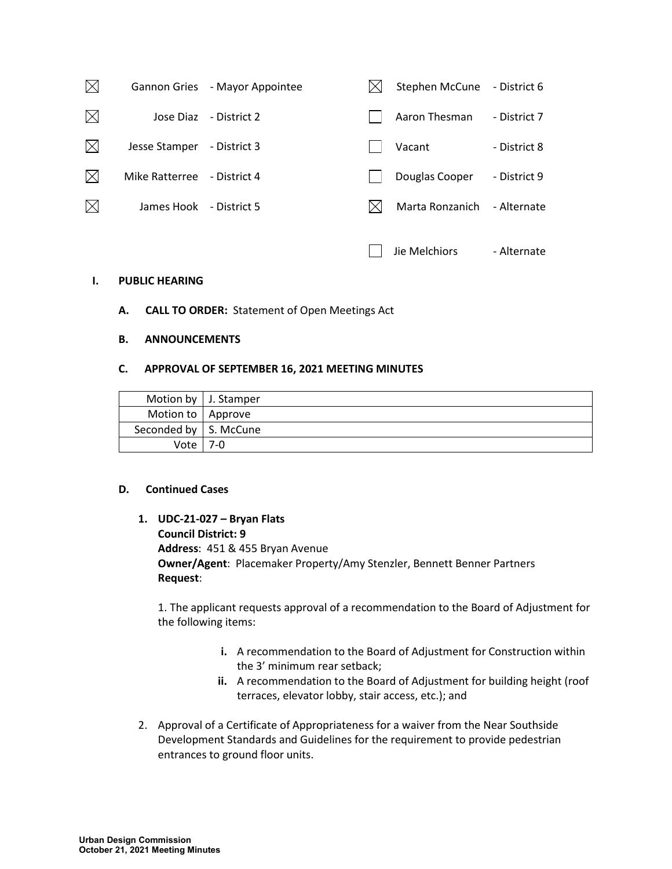| $\boxtimes$ |                | Gannon Gries - Mayor Appointee | Stephen McCune  | - District 6 |
|-------------|----------------|--------------------------------|-----------------|--------------|
| $\boxtimes$ | Jose Diaz      | - District 2                   | Aaron Thesman   | - District 7 |
| $\boxtimes$ | Jesse Stamper  | - District 3                   | Vacant          | - District 8 |
| $\boxtimes$ | Mike Ratterree | - District 4                   | Douglas Cooper  | - District 9 |
| $\boxtimes$ | James Hook     | - District 5                   | Marta Ronzanich | - Alternate  |
|             |                |                                | Jie Melchiors   | - Alternate  |

## **I. PUBLIC HEARING**

**A. CALL TO ORDER:** Statement of Open Meetings Act

## **B. ANNOUNCEMENTS**

#### **C. APPROVAL OF SEPTEMBER 16, 2021 MEETING MINUTES**

|                         | Motion by   J. Stamper |
|-------------------------|------------------------|
| Motion to   Approve     |                        |
| Seconded by   S. McCune |                        |
| Vote                    | $7-0$                  |

#### **D. Continued Cases**

**1. UDC-21-027 – Bryan Flats Council District: 9 Address**: 451 & 455 Bryan Avenue **Owner/Agent**: Placemaker Property/Amy Stenzler, Bennett Benner Partners **Request**:

1. The applicant requests approval of a recommendation to the Board of Adjustment for the following items:

- **i.** A recommendation to the Board of Adjustment for Construction within the 3' minimum rear setback;
- **ii.** A recommendation to the Board of Adjustment for building height (roof terraces, elevator lobby, stair access, etc.); and
- 2. Approval of a Certificate of Appropriateness for a waiver from the Near Southside Development Standards and Guidelines for the requirement to provide pedestrian entrances to ground floor units.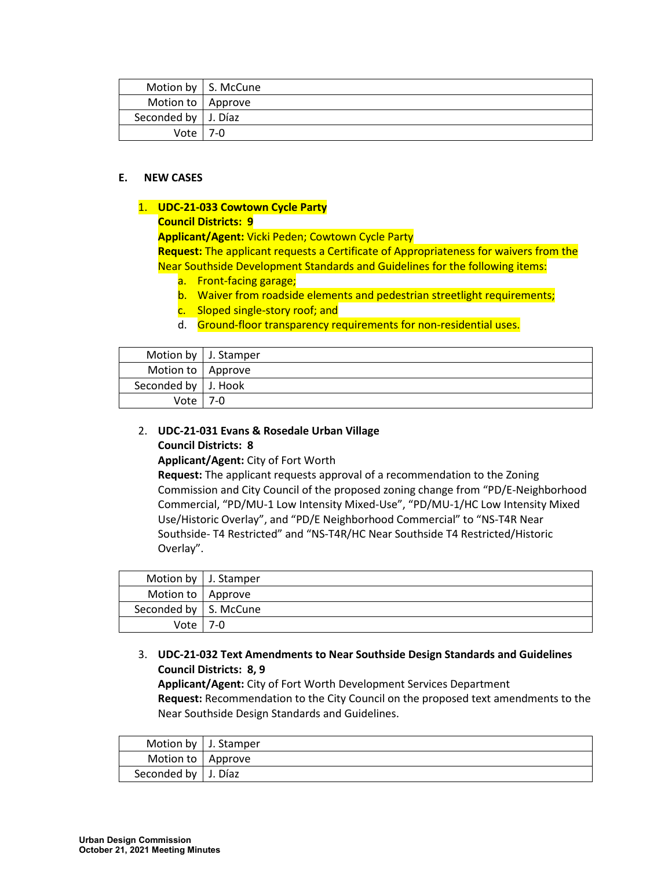|                             | Motion by   S. McCune |
|-----------------------------|-----------------------|
| Motion to   Approve         |                       |
| Seconded by $\vert$ J. Díaz |                       |
| Vote l                      | - 7-0                 |

## **E. NEW CASES**

## 1. **UDC-21-033 Cowtown Cycle Party**

## **Council Districts: 9**

**Applicant/Agent:** Vicki Peden; Cowtown Cycle Party

**Request:** The applicant requests a Certificate of Appropriateness for waivers from the Near Southside Development Standards and Guidelines for the following items:

- a. Front-facing garage;
- b. Waiver from roadside elements and pedestrian streetlight requirements;
- c. Sloped single-story roof; and
- d. Ground-floor transparency requirements for non-residential uses.

|                       | Motion by   J. Stamper |
|-----------------------|------------------------|
| Motion to   Approve   |                        |
| Seconded by   J. Hook |                        |
| Vote                  | 7-0                    |

## 2. **UDC-21-031 Evans & Rosedale Urban Village Council Districts: 8**

**Applicant/Agent:** City of Fort Worth

**Request:** The applicant requests approval of a recommendation to the Zoning Commission and City Council of the proposed zoning change from "PD/E-Neighborhood Commercial, "PD/MU-1 Low Intensity Mixed-Use", "PD/MU-1/HC Low Intensity Mixed Use/Historic Overlay", and "PD/E Neighborhood Commercial" to "NS-T4R Near Southside- T4 Restricted" and "NS-T4R/HC Near Southside T4 Restricted/Historic Overlay".

|                         | Motion by   J. Stamper |
|-------------------------|------------------------|
| Motion to   Approve     |                        |
| Seconded by   S. McCune |                        |
| Vote                    | 7-0                    |

# 3. **UDC-21-032 Text Amendments to Near Southside Design Standards and Guidelines Council Districts: 8, 9**

**Applicant/Agent:** City of Fort Worth Development Services Department **Request:** Recommendation to the City Council on the proposed text amendments to the Near Southside Design Standards and Guidelines.

|                       | Motion by $\vert$ J. Stamper |
|-----------------------|------------------------------|
| Motion to   Approve   |                              |
| Seconded by   J. Díaz |                              |